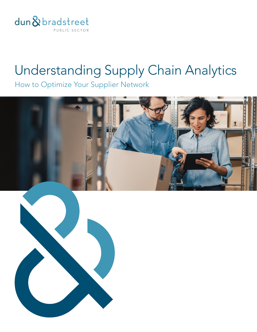

## Understanding Supply Chain Analytics

How to Optimize Your Supplier Network

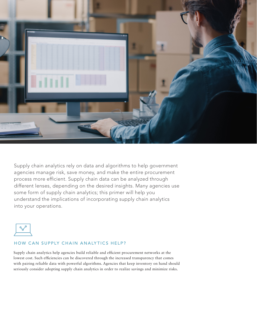

Supply chain analytics rely on data and algorithms to help government agencies manage risk, save money, and make the entire procurement process more efficient. Supply chain data can be analyzed through different lenses, depending on the desired insights. Many agencies use some form of supply chain analytics; this primer will help you understand the implications of incorporating supply chain analytics into your operations.



## HOW CAN SUPPLY CHAIN ANALYTICS HELP?

Supply chain analytics help agencies build reliable and efficient procurement networks at the lowest cost. Such efficiencies can be discovered through the increased transparency that comes with pairing reliable data with powerful algorithms. Agencies that keep inventory on hand should seriously consider adopting supply chain analytics in order to realize savings and minimize risks.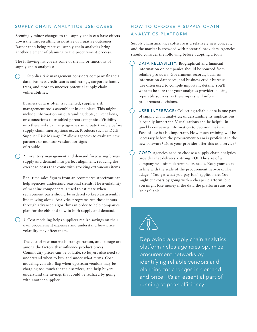## SUPPLY CHAIN ANALYTICS USE-CASES

Seemingly minor changes to the supply chain can have effects down the line, resulting in positive or negative outcomes. Rather than being reactive, supply chain analytics bring another element of planning to the procurement process.

The following list covers some of the major functions of supply chain analytics:

1. Supplier risk management considers company financial data, business credit scores and ratings, corporate family trees, and more to uncover potential supply chain vulnerabilities.

Business data is often fragmented; supplier risk management tools assemble it in one place. This might include information on outstanding debts, current liens, or connections to troubled parent companies. Visibility into these risks can help agencies anticipate trouble before supply chain interruptions occur. Products such as D&B Supplier Risk Manager™ allow agencies to evaluate new partners or monitor vendors for signs of trouble.

2. Inventory management and demand forecasting brings supply and demand into perfect alignment, reducing the overhead costs that come with stocking extraneous items.

Real-time sales figures from an ecommerce storefront can help agencies understand seasonal trends. The availability of machine components is used to estimate when replacement parts should be ordered to keep an assembly line moving along. Analytics programs run these inputs through advanced algorithms in order to help companies plan for the ebb-and-flow in both supply and demand.

3. 3. Cost modeling helps suppliers realize savings on their own procurement expenses and understand how price volatility may affect them.

The cost of raw materials, transportation, and storage are among the factors that influence product prices. Commodity prices can be volatile, so buyers also need to understand when to buy and under what terms. Cost modeling can also flag when upstream vendors may be charging too much for their services, and help buyers understand the savings that could be realized by going with another supplier.

## HOW TO CHOOSE A SUPPLY CHAIN ANALYTICS PLATFORM

Supply chain analytics software is a relatively new concept, and the market is crowded with potential providers. Agencies should consider the following before adopting a tool:

• DATA RELIABILITY: Biographical and financial information on companies should be sourced from reliable providers. Government records, business information databases, and business credit bureaus are often used to compile important details. You'll want to be sure that your analytics provider is using reputable sources, as these inputs will inform procurement decisions.

USER INTERFACE: Collecting reliable data is one part of supply chain analytics; understanding its implications is equally important. Visualizations can be helpful in quickly conveying information to decision makers. Ease-of-use is also important. How much training will be necessary before the procurement team is proficient in the new software? Does your provider offer this as a service?

• COST: Agencies need to choose a supply chain analytics provider that delivers a strong ROI. The size of a company will often determine its needs. Keep your costs in line with the scale of the procurement network. The adage, "You get what you pay for," applies here. You might cut costs by going with a cheaper platform, but you might lose money if the data the platform runs on isn't reliable.



Deploying a supply chain analytics platform helps agencies optimize procurement networks by identifying reliable vendors and planning for changes in demand and price. It's an essential part of running at peak efficiency.